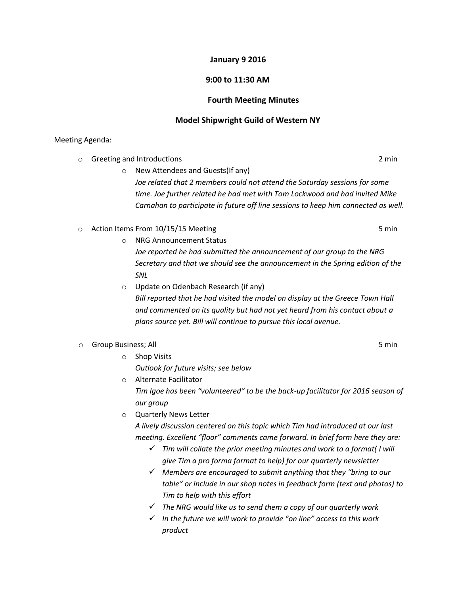# **January 9 2016**

# **9:00 to 11:30 AM**

#### **Fourth Meeting Minutes**

## **Model Shipwright Guild of Western NY**

## Meeting Agenda:

o Greeting and Introductions 2 min

o New Attendees and Guests(If any)

*Joe related that 2 members could not attend the Saturday sessions for some time. Joe further related he had met with Tom Lockwood and had invited Mike Carnahan to participate in future off line sessions to keep him connected as well.*

 $\circ$  Action Items From 10/15/15 Meeting  $\circ$  5 min

- o NRG Announcement Status *Joe reported he had submitted the announcement of our group to the NRG Secretary and that we should see the announcement in the Spring edition of the SNL*
- o Update on Odenbach Research (if any) *Bill reported that he had visited the model on display at the Greece Town Hall and commented on its quality but had not yet heard from his contact about a plans source yet. Bill will continue to pursue this local avenue.*

### o Group Business; All 5 min

o Shop Visits

*Outlook for future visits; see below*

- o Alternate Facilitator *Tim Igoe has been "volunteered" to be the back-up facilitator for 2016 season of our group*
- o Quarterly News Letter

*A lively discussion centered on this topic which Tim had introduced at our last meeting. Excellent "floor" comments came forward. In brief form here they are:*

- *Tim will collate the prior meeting minutes and work to a format( I will give Tim a pro forma format to help) for our quarterly newsletter*
- *Members are encouraged to submit anything that they "bring to our table" or include in our shop notes in feedback form (text and photos) to Tim to help with this effort*
- *The NRG would like us to send them a copy of our quarterly work*
- *In the future we will work to provide "on line" access to this work product*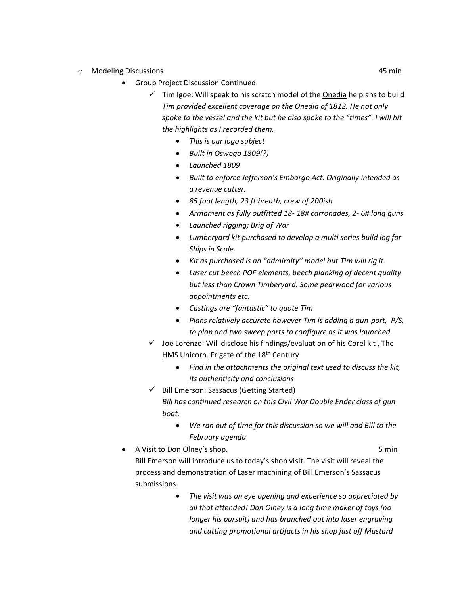- o Modeling Discussions 45 min
	- Group Project Discussion Continued
		- $\checkmark$  Tim Igoe: Will speak to his scratch model of the Onedia he plans to build *Tim provided excellent coverage on the Onedia of 1812. He not only spoke to the vessel and the kit but he also spoke to the "times". I will hit the highlights as I recorded them.*
			- *This is our logo subject*
			- *Built in Oswego 1809(?)*
			- *Launched 1809*
			- *Built to enforce Jefferson's Embargo Act. Originally intended as a revenue cutter.*
			- *85 foot length, 23 ft breath, crew of 200ish*
			- *Armament as fully outfitted 18- 18# carronades, 2- 6# long guns*
			- *Launched rigging; Brig of War*
			- *Lumberyard kit purchased to develop a multi series build log for Ships in Scale.*
			- *Kit as purchased is an "admiralty" model but Tim will rig it.*
			- *Laser cut beech POF elements, beech planking of decent quality but less than Crown Timberyard. Some pearwood for various appointments etc.*
			- *Castings are "fantastic" to quote Tim*
			- *Plans relatively accurate however Tim is adding a gun-port, P/S, to plan and two sweep ports to configure as it was launched.*
		- $\checkmark$  Joe Lorenzo: Will disclose his findings/evaluation of his Corel kit, The HMS Unicorn. Frigate of the 18<sup>th</sup> Century
			- *Find in the attachments the original text used to discuss the kit, its authenticity and conclusions*
		- $\checkmark$  Bill Emerson: Sassacus (Getting Started) *Bill has continued research on this Civil War Double Ender class of gun boat.*
			- *We ran out of time for this discussion so we will add Bill to the February agenda*
	- A Visit to Don Olney's shop. The state of the state of the Sun Smin Bill Emerson will introduce us to today's shop visit. The visit will reveal the process and demonstration of Laser machining of Bill Emerson's Sassacus submissions.
		- *The visit was an eye opening and experience so appreciated by all that attended! Don Olney is a long time maker of toys (no longer his pursuit) and has branched out into laser engraving and cutting promotional artifacts in his shop just off Mustard*